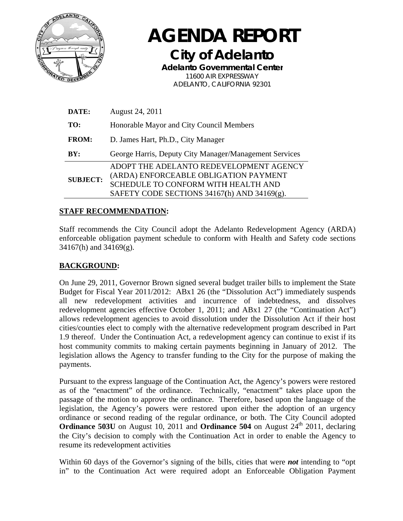

**AGENDA REPORT City of Adelanto Adelanto Governmental Center** 11600 AIR EXPRESSWAY ADELANTO, CALIFORNIA 92301

| DATE:           | August 24, 2011                                                                                                                                                        |  |  |  |  |  |  |
|-----------------|------------------------------------------------------------------------------------------------------------------------------------------------------------------------|--|--|--|--|--|--|
| TO:             | Honorable Mayor and City Council Members                                                                                                                               |  |  |  |  |  |  |
| <b>FROM:</b>    | D. James Hart, Ph.D., City Manager                                                                                                                                     |  |  |  |  |  |  |
| BY:             | George Harris, Deputy City Manager/Management Services                                                                                                                 |  |  |  |  |  |  |
| <b>SUBJECT:</b> | ADOPT THE ADELANTO REDEVELOPMENT AGENCY<br>(ARDA) ENFORCEABLE OBLIGATION PAYMENT<br>SCHEDULE TO CONFORM WITH HEALTH AND<br>SAFETY CODE SECTIONS 34167(h) AND 34169(g). |  |  |  |  |  |  |

### **STAFF RECOMMENDATION:**

Staff recommends the City Council adopt the Adelanto Redevelopment Agency (ARDA) enforceable obligation payment schedule to conform with Health and Safety code sections  $34167(h)$  and  $34169(g)$ .

# **BACKGROUND:**

On June 29, 2011, Governor Brown signed several budget trailer bills to implement the State Budget for Fiscal Year 2011/2012: ABx1 26 (the "Dissolution Act") immediately suspends all new redevelopment activities and incurrence of indebtedness, and dissolves redevelopment agencies effective October 1, 2011; and ABx1 27 (the "Continuation Act") allows redevelopment agencies to avoid dissolution under the Dissolution Act if their host cities/counties elect to comply with the alternative redevelopment program described in Part 1.9 thereof. Under the Continuation Act, a redevelopment agency can continue to exist if its host community commits to making certain payments beginning in January of 2012. The legislation allows the Agency to transfer funding to the City for the purpose of making the payments.

Pursuant to the express language of the Continuation Act, the Agency's powers were restored as of the "enactment" of the ordinance. Technically, "enactment" takes place upon the passage of the motion to approve the ordinance. Therefore, based upon the language of the legislation, the Agency's powers were restored upon either the adoption of an urgency ordinance or second reading of the regular ordinance, or both. The City Council adopted **Ordinance 503U** on August 10, 2011 and **Ordinance 504** on August  $24<sup>th</sup>$  2011, declaring the City's decision to comply with the Continuation Act in order to enable the Agency to resume its redevelopment activities

Within 60 days of the Governor's signing of the bills, cities that were **not** intending to "opt" in" to the Continuation Act were required adopt an Enforceable Obligation Payment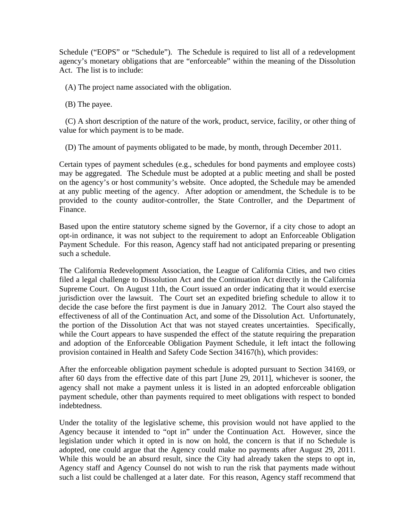Schedule ("EOPS" or "Schedule"). The Schedule is required to list all of a redevelopment agency's monetary obligations that are "enforceable" within the meaning of the Dissolution Act. The list is to include:

(A) The project name associated with the obligation.

(B) The payee.

 (C) A short description of the nature of the work, product, service, facility, or other thing of value for which payment is to be made.

(D) The amount of payments obligated to be made, by month, through December 2011.

Certain types of payment schedules (e.g., schedules for bond payments and employee costs) may be aggregated. The Schedule must be adopted at a public meeting and shall be posted on the agency's or host community's website. Once adopted, the Schedule may be amended at any public meeting of the agency. After adoption or amendment, the Schedule is to be provided to the county auditor-controller, the State Controller, and the Department of Finance.

Based upon the entire statutory scheme signed by the Governor, if a city chose to adopt an opt-in ordinance, it was not subject to the requirement to adopt an Enforceable Obligation Payment Schedule. For this reason, Agency staff had not anticipated preparing or presenting such a schedule.

The California Redevelopment Association, the League of California Cities, and two cities filed a legal challenge to Dissolution Act and the Continuation Act directly in the California Supreme Court. On August 11th, the Court issued an order indicating that it would exercise jurisdiction over the lawsuit. The Court set an expedited briefing schedule to allow it to decide the case before the first payment is due in January 2012. The Court also stayed the effectiveness of all of the Continuation Act, and some of the Dissolution Act. Unfortunately, the portion of the Dissolution Act that was not stayed creates uncertainties. Specifically, while the Court appears to have suspended the effect of the statute requiring the preparation and adoption of the Enforceable Obligation Payment Schedule, it left intact the following provision contained in Health and Safety Code Section 34167(h), which provides:

After the enforceable obligation payment schedule is adopted pursuant to Section 34169, or after 60 days from the effective date of this part [June 29, 2011], whichever is sooner, the agency shall not make a payment unless it is listed in an adopted enforceable obligation payment schedule, other than payments required to meet obligations with respect to bonded indebtedness.

Under the totality of the legislative scheme, this provision would not have applied to the Agency because it intended to "opt in" under the Continuation Act. However, since the legislation under which it opted in is now on hold, the concern is that if no Schedule is adopted, one could argue that the Agency could make no payments after August 29, 2011. While this would be an absurd result, since the City had already taken the steps to opt in, Agency staff and Agency Counsel do not wish to run the risk that payments made without such a list could be challenged at a later date. For this reason, Agency staff recommend that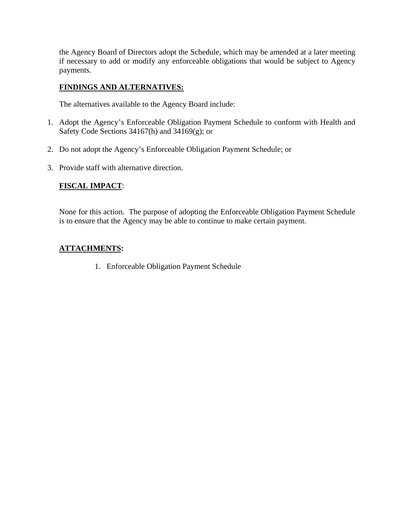the Agency Board of Directors adopt the Schedule, which may be amended at a later meeting if necessary to add or modify any enforceable obligations that would be subject to Agency payments.

## **FINDINGS AND ALTERNATIVES:**

The alternatives available to the Agency Board include:

- 1. Adopt the Agency's Enforceable Obligation Payment Schedule to conform with Health and Safety Code Sections 34167(h) and 34169(g); or
- 2. Do not adopt the Agency's Enforceable Obligation Payment Schedule; or
- 3. Provide staff with alternative direction.

### **FISCAL IMPACT**:

None for this action. The purpose of adopting the Enforceable Obligation Payment Schedule is to ensure that the Agency may be able to continue to make certain payment.

## **ATTACHMENTS:**

1. Enforceable Obligation Payment Schedule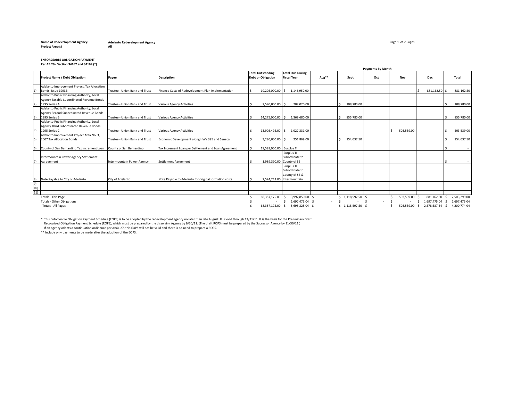#### **Name of Redevelopment Agency: of Redevelopment Agency:** Page 1 of 2 Pages **Adelanto Redevelopment AgencyProject Area(s) All**

#### **ENFORCEABLE OBLIGATION PAYMENT Per AB 26 ‐ Section 34167 and 34169 (\*)**

|     |                                              |                                |                                                       |                           | <b>Payments by Month</b>         |       |                        |        |            |                               |              |              |
|-----|----------------------------------------------|--------------------------------|-------------------------------------------------------|---------------------------|----------------------------------|-------|------------------------|--------|------------|-------------------------------|--------------|--------------|
|     |                                              |                                |                                                       | <b>Total Outstanding</b>  | <b>Total Due During</b>          |       |                        |        |            |                               |              |              |
|     | <b>Project Name / Debt Obligation</b>        | Payee                          | <b>Description</b>                                    | <b>Debt or Obligation</b> | <b>Fiscal Year</b>               | Aug** | Sept                   | Oct    | Nov        | Dec                           | Total        |              |
|     |                                              |                                |                                                       |                           |                                  |       |                        |        |            |                               |              |              |
|     | Adelanto Improvement Project, Tax Allocation |                                |                                                       |                           |                                  |       |                        |        |            |                               |              |              |
|     | Bonds, Issue 1993B                           | Trustee - Union Bank and Trust | Finance Costs of Redevelopment Plan Implementation    | 10,205,000.00 \$          | 1,146,950.00                     |       |                        |        |            | 881,162.50 \$                 |              | 881,162.50   |
|     | Adelanto Public Financing Authority, Local   |                                |                                                       |                           |                                  |       |                        |        |            |                               |              |              |
|     | Agency Taxable Subordinated Revenue Bonds    |                                |                                                       |                           |                                  |       |                        |        |            |                               |              |              |
|     | 1995 Series A                                | Trustee - Union Bank and Trust | <b>Various Agency Activities</b>                      | 2,590,000.00 \$           | 202.020.00                       |       | 108,780.00             |        |            |                               |              | 108.780.00   |
|     | Adelanto Public Financing Authority, Local   |                                |                                                       |                           |                                  |       |                        |        |            |                               |              |              |
|     | Agency Second Subordinated Revenue Bonds     |                                |                                                       |                           |                                  |       |                        |        |            |                               |              |              |
|     | 1995 Series B                                | Trustee - Union Bank and Trust | <b>Various Agency Activities</b>                      | 14,275,000.00 \$          | 1,369,680.00                     |       | 855,780.00             |        |            |                               |              | 855,780.00   |
|     | Adelanto Public Financing Authority, Local   |                                |                                                       |                           |                                  |       |                        |        |            |                               |              |              |
|     | Agency Third Subordinated Revenue Bonds      |                                |                                                       |                           |                                  |       |                        |        |            |                               |              |              |
|     | 1995 Series C                                | Trustee - Union Bank and Trust | Various Agency Activities                             | 13,905,492.00 \$          | 1,027,331.00                     |       |                        |        | 503,539.00 |                               |              | 503,539.00   |
|     | Adelanto Improvement Project Area No. 3,     |                                |                                                       |                           |                                  |       |                        |        |            |                               |              |              |
|     | 2007 Tax Allocation Bonds                    | Trustee - Union Bank and Trust | Economic Development along HWY 395 and Seneca         | 3,280,000.00              | 251,869.00                       |       | 154,037.50             |        |            |                               |              | 154,037.50   |
|     |                                              |                                |                                                       |                           |                                  |       |                        |        |            |                               |              |              |
|     | County of San Bernardino Tax increment Loan  | County of San Bernardino       | Tax Increment Loan per Settlement and Loan Agreement  | 19,588,050.00 Surplus TI  |                                  |       |                        |        |            |                               |              |              |
|     |                                              |                                |                                                       |                           | Surplus TI                       |       |                        |        |            |                               |              |              |
|     | Intermountain Power Agency Settlement        |                                |                                                       |                           | Subordinate to                   |       |                        |        |            |                               |              |              |
|     | Agreeement                                   | Intermountain Power Agency     | Settlement Agreement                                  | 1,989,390.00 County of SB |                                  |       |                        |        |            |                               |              |              |
|     |                                              |                                |                                                       |                           | Surplus TI                       |       |                        |        |            |                               |              |              |
|     |                                              |                                |                                                       |                           | Subordinate to                   |       |                        |        |            |                               |              |              |
|     |                                              |                                |                                                       |                           | County of SB &                   |       |                        |        |            |                               |              |              |
|     | Note Payable to City of Adelanto             | City of Adelanto               | Note Payable to Adelanto for original formation costs |                           | 2,524,243.00 Intermountain       |       |                        |        |            |                               |              |              |
|     |                                              |                                |                                                       |                           |                                  |       |                        |        |            |                               |              |              |
| 10) |                                              |                                |                                                       |                           |                                  |       |                        |        |            |                               |              |              |
| 11) |                                              |                                |                                                       |                           |                                  |       |                        |        |            |                               |              |              |
|     | Totals - This Page                           |                                |                                                       | 68,357,175.00             | 3,997,850.00 \$<br><sup>\$</sup> |       | 1,118,597.50 \$        | $\sim$ | 503,539.00 | 881,162.50                    |              | 2,503,299.00 |
|     | <b>Totals - Other Obligations</b>            |                                |                                                       |                           | 1,697,475.04 \$                  |       | $\sim$ $\sim$          | $\sim$ |            | 1,697,475.04<br>S.            |              | 1,697,475.04 |
|     | <b>Totals - All Pages</b>                    |                                |                                                       | 68,357,175.00 \$          | 5,695,325.04 \$                  |       | $-$ \$ 1,118,597.50 \$ |        |            | 503,539.00 \$ 2,578,637.54 \$ | 4,200,774.04 |              |

\* This Enforceable Obligation Payment Schedule (EOPS) is to be adopted by the redevelopment agency no later than late August. It is valid through 12/31/11. It is the basis for the Preliminary Draft

Recognized Obligation Payment Schedule (ROPS), which must be prepared by the dissolving Agency by 9/30/11. (The draft ROPS must be prepared by the Successor Agency by 11/30/11.)<br>If an agency adopts a continuation ordinance

\*\* Include only payments to be made after the adoption of the EOPS.